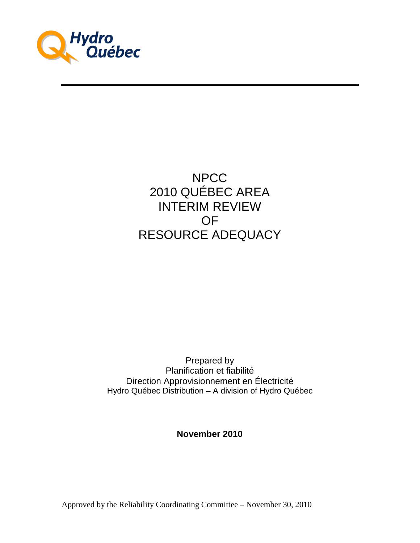

# NPCC 2010 QUÉBEC AREA INTERIM REVIEW OF RESOURCE ADEQUACY

Prepared by Planification et fiabilité Direction Approvisionnement en Électricité Hydro Québec Distribution – A division of Hydro Québec

**November 2010**

Approved by the Reliability Coordinating Committee – November 30, 2010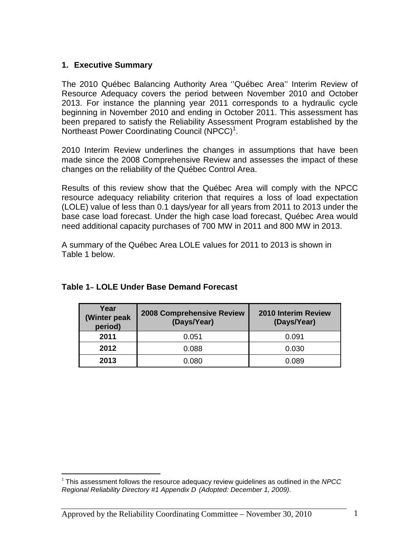## **1. Executive Summary**

The 2010 Québec Balancing Authority Area ''Québec Area'' Interim Review of Resource Adequacy covers the period between November 2010 and October 2013. For instance the planning year 2011 corresponds to a hydraulic cycle beginning in November 2010 and ending in October 2011. This assessment has been prepared to satisfy the Reliability Assessment Program established by the Northeast Power Coordinating Council (NPCC)<sup>1</sup>.

2010 Interim Review underlines the changes in assumptions that have been made since the 2008 Comprehensive Review and assesses the impact of these changes on the reliability of the Québec Control Area.

Results of this review show that the Québec Area will comply with the NPCC resource adequacy reliability criterion that requires a loss of load expectation (LOLE) value of less than 0.1 days/year for all years from 2011 to 2013 under the base case load forecast. Under the high case load forecast, Québec Area would need additional capacity purchases of 700 MW in 2011 and 800 MW in 2013.

A summary of the Québec Area LOLE values for 2011 to 2013 is shown in Table 1 below.

| Year<br>(Winter peak<br>period) | <b>2008 Comprehensive Review</b><br>(Days/Year) | <b>2010 Interim Review</b><br>(Days/Year) |
|---------------------------------|-------------------------------------------------|-------------------------------------------|
| 2011                            | 0.051                                           | 0.091                                     |
| 2012                            | 0.088                                           | 0.030                                     |
| 2013                            | 0.080                                           | 0.089                                     |

## **Table 1– LOLE Under Base Demand Forecast**

<sup>&</sup>lt;u>.</u>  $1$  This assessment follows the resource adequacy review quidelines as outlined in the NPCC Regional Reliability Directory #1 Appendix D (Adopted: December 1, 2009).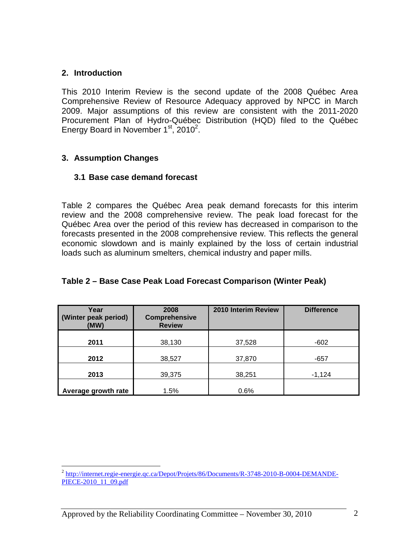#### **2. Introduction**

This 2010 Interim Review is the second update of the 2008 Québec Area Comprehensive Review of Resource Adequacy approved by NPCC in March 2009. Major assumptions of this review are consistent with the 2011-2020 Procurement Plan of Hydro-Québec Distribution (HQD) filed to the Québec Energy Board in November  $1<sup>st</sup>$ , 2010<sup>2</sup>.

## **3. Assumption Changes**

#### **3.1 Base case demand forecast**

Table 2 compares the Québec Area peak demand forecasts for this interim review and the 2008 comprehensive review. The peak load forecast for the Québec Area over the period of this review has decreased in comparison to the forecasts presented in the 2008 comprehensive review. This reflects the general economic slowdown and is mainly explained by the loss of certain industrial loads such as aluminum smelters, chemical industry and paper mills.

| Year<br>(Winter peak period)<br>(MW) | 2008<br><b>Comprehensive</b><br><b>Review</b> |        | <b>Difference</b> |
|--------------------------------------|-----------------------------------------------|--------|-------------------|
| 2011                                 | 38,130                                        | 37,528 | $-602$            |
| 2012                                 | 38,527                                        | 37,870 | $-657$            |
| 2013                                 | 39,375                                        | 38,251 | $-1,124$          |
| Average growth rate                  | 1.5%                                          | 0.6%   |                   |

## **Table 2 – Base Case Peak Load Forecast Comparison (Winter Peak)**

<sup>-&</sup>lt;br><sup>2</sup> http://internet.regie-energie.qc.ca/Depot/Projets/86/Documents/R-3748-2010-B-0004-DEMANDE-PIECE-2010\_11\_09.pdf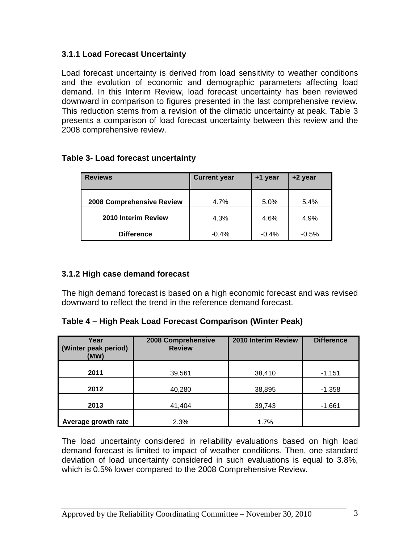# **3.1.1 Load Forecast Uncertainty**

Load forecast uncertainty is derived from load sensitivity to weather conditions and the evolution of economic and demographic parameters affecting load demand. In this Interim Review, load forecast uncertainty has been reviewed downward in comparison to figures presented in the last comprehensive review. This reduction stems from a revision of the climatic uncertainty at peak. Table 3 presents a comparison of load forecast uncertainty between this review and the 2008 comprehensive review.

| <b>Reviews</b>            | <b>Current year</b><br>+1 year |         | +2 year |
|---------------------------|--------------------------------|---------|---------|
| 2008 Comprehensive Review | 4.7%                           | 5.0%    | 5.4%    |
| 2010 Interim Review       | 4.3%                           | 4.6%    | 4.9%    |
| <b>Difference</b>         | $-0.4%$                        | $-0.4%$ | $-0.5%$ |

# **Table 3- Load forecast uncertainty**

## **3.1.2 High case demand forecast**

The high demand forecast is based on a high economic forecast and was revised downward to reflect the trend in the reference demand forecast.

**Table 4 – High Peak Load Forecast Comparison (Winter Peak)** 

| Year<br>(Winter peak period)<br>(MW) | 2008 Comprehensive<br><b>Review</b> | 2010 Interim Review | <b>Difference</b> |
|--------------------------------------|-------------------------------------|---------------------|-------------------|
| 2011                                 | 39,561                              | 38,410              | $-1,151$          |
| 2012<br>40,280                       |                                     | 38,895              | $-1,358$          |
| 2013<br>41,404                       |                                     | 39,743              | $-1,661$          |
| Average growth rate                  | 2.3%                                | 1.7%                |                   |

The load uncertainty considered in reliability evaluations based on high load demand forecast is limited to impact of weather conditions. Then, one standard deviation of load uncertainty considered in such evaluations is equal to 3.8%, which is 0.5% lower compared to the 2008 Comprehensive Review.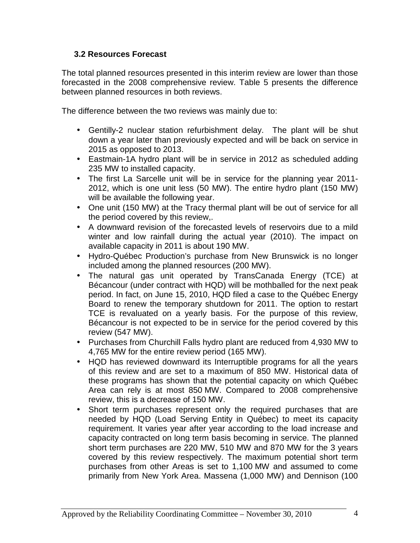## **3.2 Resources Forecast**

The total planned resources presented in this interim review are lower than those forecasted in the 2008 comprehensive review. Table 5 presents the difference between planned resources in both reviews.

The difference between the two reviews was mainly due to:

- Gentilly-2 nuclear station refurbishment delay. The plant will be shut down a year later than previously expected and will be back on service in 2015 as opposed to 2013.
- Eastmain-1A hydro plant will be in service in 2012 as scheduled adding 235 MW to installed capacity.
- The first La Sarcelle unit will be in service for the planning year 2011- 2012, which is one unit less (50 MW). The entire hydro plant (150 MW) will be available the following year.
- One unit (150 MW) at the Tracy thermal plant will be out of service for all the period covered by this review,.
- A downward revision of the forecasted levels of reservoirs due to a mild winter and low rainfall during the actual year (2010). The impact on available capacity in 2011 is about 190 MW.
- Hydro-Québec Production's purchase from New Brunswick is no longer included among the planned resources (200 MW).
- The natural gas unit operated by TransCanada Energy (TCE) at Bécancour (under contract with HQD) will be mothballed for the next peak period. In fact, on June 15, 2010, HQD filed a case to the Québec Energy Board to renew the temporary shutdown for 2011. The option to restart TCE is revaluated on a yearly basis. For the purpose of this review, Bécancour is not expected to be in service for the period covered by this review (547 MW).
- Purchases from Churchill Falls hydro plant are reduced from 4,930 MW to 4,765 MW for the entire review period (165 MW).
- HQD has reviewed downward its Interruptible programs for all the years of this review and are set to a maximum of 850 MW. Historical data of these programs has shown that the potential capacity on which Québec Area can rely is at most 850 MW. Compared to 2008 comprehensive review, this is a decrease of 150 MW.
- Short term purchases represent only the required purchases that are needed by HQD (Load Serving Entity in Québec) to meet its capacity requirement. It varies year after year according to the load increase and capacity contracted on long term basis becoming in service. The planned short term purchases are 220 MW, 510 MW and 870 MW for the 3 years covered by this review respectively. The maximum potential short term purchases from other Areas is set to 1,100 MW and assumed to come primarily from New York Area. Massena (1,000 MW) and Dennison (100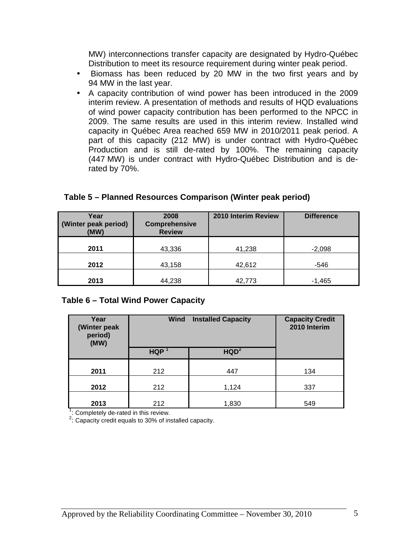MW) interconnections transfer capacity are designated by Hydro-Québec Distribution to meet its resource requirement during winter peak period.

- Biomass has been reduced by 20 MW in the two first years and by 94 MW in the last year.
- A capacity contribution of wind power has been introduced in the 2009 interim review. A presentation of methods and results of HQD evaluations of wind power capacity contribution has been performed to the NPCC in 2009. The same results are used in this interim review. Installed wind capacity in Québec Area reached 659 MW in 2010/2011 peak period. A part of this capacity (212 MW) is under contract with Hydro-Québec Production and is still de-rated by 100%. The remaining capacity (447 MW) is under contract with Hydro-Québec Distribution and is derated by 70%.

| Year<br>(Winter peak period)<br>(MW) | 2008<br>Comprehensive<br><b>Review</b> | 2010 Interim Review | <b>Difference</b> |  |
|--------------------------------------|----------------------------------------|---------------------|-------------------|--|
| 2011                                 | 43,336                                 | 41,238              | $-2,098$          |  |
| 2012                                 | 43,158                                 | 42,612              | -546              |  |
| 2013                                 | 44,238                                 | 42,773              | $-1,465$          |  |

#### **Table 5 – Planned Resources Comparison (Winter peak period)**

#### **Table 6 – Total Wind Power Capacity**

| Year<br>(Winter peak<br>period)<br>(MW) | Wind<br><b>Installed Capacity</b> |                  | <b>Capacity Credit</b><br>2010 Interim |
|-----------------------------------------|-----------------------------------|------------------|----------------------------------------|
|                                         | <b>HQP</b>                        | HQD <sup>2</sup> |                                        |
| 2011                                    | 212                               | 447              | 134                                    |
| 2012                                    | 212                               | 1,124            | 337                                    |
| 2013                                    | 212                               | 1,830            | 549                                    |

<sup>1</sup>: Completely de-rated in this review.

<sup>2</sup>: Capacity credit equals to 30% of installed capacity.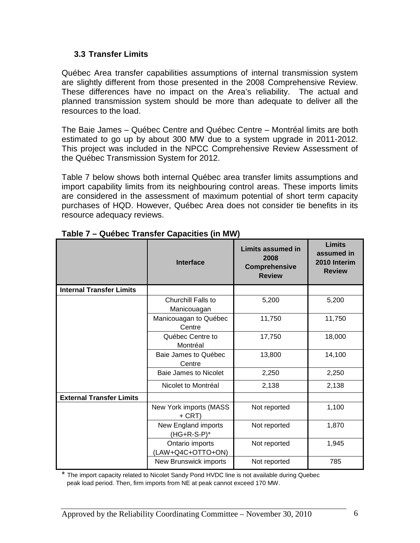#### **3.3 Transfer Limits**

Québec Area transfer capabilities assumptions of internal transmission system are slightly different from those presented in the 2008 Comprehensive Review. These differences have no impact on the Area's reliability. The actual and planned transmission system should be more than adequate to deliver all the resources to the load.

The Baie James – Québec Centre and Québec Centre – Montréal limits are both estimated to go up by about 300 MW due to a system upgrade in 2011-2012. This project was included in the NPCC Comprehensive Review Assessment of the Québec Transmission System for 2012.

Table 7 below shows both internal Québec area transfer limits assumptions and import capability limits from its neighbouring control areas. These imports limits are considered in the assessment of maximum potential of short term capacity purchases of HQD. However, Québec Area does not consider tie benefits in its resource adequacy reviews.

|                                 | <b>Interface</b>                      | <b>Limits assumed in</b><br>2008<br>Comprehensive<br><b>Review</b> | <b>Limits</b><br>assumed in<br>2010 Interim<br><b>Review</b> |
|---------------------------------|---------------------------------------|--------------------------------------------------------------------|--------------------------------------------------------------|
| <b>Internal Transfer Limits</b> |                                       |                                                                    |                                                              |
|                                 | Churchill Falls to<br>Manicouagan     | 5,200                                                              | 5,200                                                        |
|                                 | Manicouagan to Québec<br>Centre       | 11,750                                                             | 11,750                                                       |
|                                 | Québec Centre to<br>Montréal          | 17,750                                                             | 18,000                                                       |
|                                 | Baie James to Québec<br>Centre        | 13,800                                                             | 14,100                                                       |
|                                 | Baie James to Nicolet                 | 2,250                                                              | 2,250                                                        |
|                                 | Nicolet to Montréal                   | 2,138                                                              | 2,138                                                        |
| <b>External Transfer Limits</b> |                                       |                                                                    |                                                              |
|                                 | New York imports (MASS<br>+ CRT)      | Not reported                                                       | 1,100                                                        |
|                                 | New England imports<br>$(HG+R-S-P)^*$ | Not reported                                                       | 1,870                                                        |
|                                 | Ontario imports<br>(LAW+Q4C+OTTO+ON)  | Not reported                                                       | 1,945                                                        |
|                                 | New Brunswick imports                 | Not reported                                                       | 785                                                          |

**Table 7 – Québec Transfer Capacities (in MW)** 

The import capacity related to Nicolet Sandy Pond HVDC line is not available during Quebec peak load period. Then, firm imports from NE at peak cannot exceed 170 MW.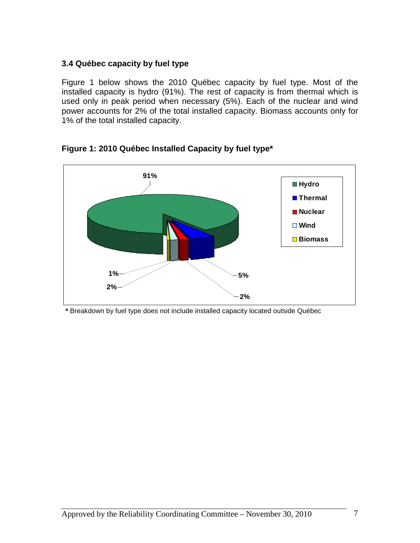## **3.4 Québec capacity by fuel type**

Figure 1 below shows the 2010 Québec capacity by fuel type. Most of the installed capacity is hydro (91%). The rest of capacity is from thermal which is used only in peak period when necessary (5%). Each of the nuclear and wind power accounts for 2% of the total installed capacity. Biomass accounts only for 1% of the total installed capacity.



**Figure 1: 2010 Québec Installed Capacity by fuel type\*** 

**\*** Breakdown by fuel type does not include installed capacity located outside Québec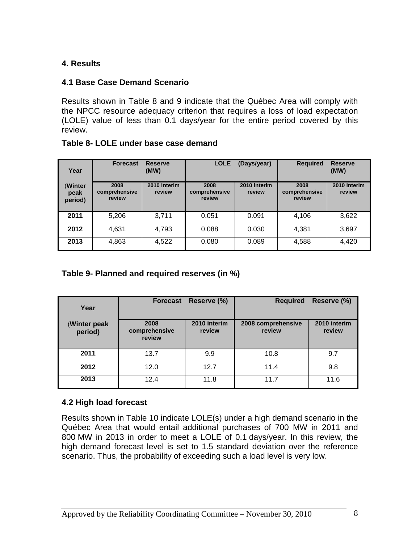# **4. Results**

## **4.1 Base Case Demand Scenario**

Results shown in Table 8 and 9 indicate that the Québec Area will comply with the NPCC resource adequacy criterion that requires a loss of load expectation (LOLE) value of less than 0.1 days/year for the entire period covered by this review.

| Year | <b>Forecast Reserve</b> | (MW) | LOLE (Days/year) |  |
|------|-------------------------|------|------------------|--|

## **Table 8- LOLE under base case demand**

| (Winter<br>peak<br>period) | 2008<br>comprehensive<br>review | 2010 interim<br>review | 2008<br>comprehensive<br>review | 2010 interim<br>review | 2008<br>comprehensive<br>review | 2010 interim<br>review |
|----------------------------|---------------------------------|------------------------|---------------------------------|------------------------|---------------------------------|------------------------|
| 2011                       | 5,206                           | 3,711                  | 0.051                           | 0.091                  | 4,106                           | 3,622                  |
| 2012                       | 4.631                           | 4,793                  | 0.088                           | 0.030                  | 4,381                           | 3,697                  |
| 2013                       | 4,863                           | 4,522                  | 0.080                           | 0.089                  | 4,588                           | 4,420                  |

# **Table 9- Planned and required reserves (in %)**

| Year                    | <b>Forecast</b>                 | Reserve (%)            | <b>Required</b>              | Reserve (%)            |
|-------------------------|---------------------------------|------------------------|------------------------------|------------------------|
| (Winter peak<br>period) | 2008<br>comprehensive<br>review | 2010 interim<br>review | 2008 comprehensive<br>review | 2010 interim<br>review |
| 2011                    | 13.7                            | 9.9                    | 10.8                         | 9.7                    |
| 2012                    | 12.0                            | 12.7                   | 11.4                         | 9.8                    |
| 2013                    | 12.4                            | 11.8                   | 11.7                         | 11.6                   |

## **4.2 High load forecast**

Results shown in Table 10 indicate LOLE(s) under a high demand scenario in the Québec Area that would entail additional purchases of 700 MW in 2011 and 800 MW in 2013 in order to meet a LOLE of 0.1 days/year. In this review, the high demand forecast level is set to 1.5 standard deviation over the reference scenario. Thus, the probability of exceeding such a load level is very low.

**LOLE (Days/year) Required Reserve** 

**(MW)**